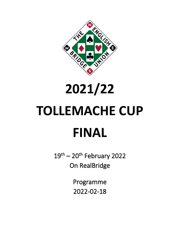

## **2021/22**

# **TOLLEMACHE CUP FINAL**

 $19<sup>th</sup> - 20<sup>th</sup>$  February 2022 On RealBridge

> Programme 2022-02-18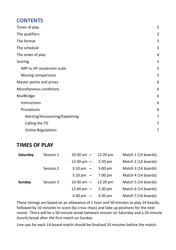### **CONTENTS**

| Times of play                   | $\overline{2}$ |
|---------------------------------|----------------|
| The qualifiers                  | 3              |
| The format                      | 3              |
| The schedule                    | 3              |
| The order of play               | 4              |
| Scoring                         | 5              |
| IMP to VP conversion scale      | 5              |
| <b>Missing comparisons</b>      | 5              |
| Master points and prizes        | 6              |
| <b>Miscellaneous conditions</b> | 6              |
| RealBridge                      | 6              |
| Instructions                    | 6              |
| Procedures                      | 6              |
| Alerting/Announcing/Explaining  | 7              |
| Calling the TD                  | 7              |
| <b>Online Regulations</b>       | 7              |

## <span id="page-1-0"></span>**TIMES OF PLAY**

| Saturday | Session 1 | $10:30$ am $-$       | $12:20 \text{ pm}$ | Match 1 (14 boards) |
|----------|-----------|----------------------|--------------------|---------------------|
|          |           | 12:30 pm $-$         | $2:20$ pm          | Match 2 (14 boards) |
|          | Session 2 | $3:10 \text{ pm } -$ | $5:00$ pm          | Match 3 (14 boards) |
|          |           | $5:10 \text{ pm } -$ | $7:00$ pm          | Match 4 (14 boards) |
| Sunday   | Session 3 | $10:30$ am $-$       | $12:20 \text{ pm}$ | Match 5 (14 boards) |
|          |           | 12:40 pm $-$         | $2:30$ pm          | Match 6 (14 boards) |
|          |           | $2:40 \text{ pm } -$ | $4:30$ pm          | Match 7 (14 boards) |

These timings are based on an allowance of 1 hour and 50 minutes to play 14 boards, followed by 10 minutes to score (by cross-imps) and take up positions for the next round. There will be a 50-minute break between session on Saturday and a 20-minute (lunch) break after the first match on Sunday.

Line-ups for each 14-board match should be finalised 10 minutes before the match.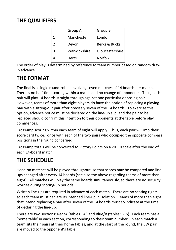## <span id="page-2-0"></span>**THE QUALIFIERS**

|               | Group A      | Group B         |
|---------------|--------------|-----------------|
| 1             | Manchester   | London          |
| $\mathcal{P}$ | Devon        | Berks & Bucks   |
| 3             | Warwickshire | Gloucestershire |
|               | <b>Herts</b> | <b>Norfolk</b>  |

The order of play is determined by reference to team number based on random draw in advance.

## <span id="page-2-1"></span>**THE FORMAT**

The final is a single round-robin, involving seven matches of 14 boards per match. There is no half-time scoring within a match and no change of opponents. Thus, each pair will play 14 boards straight through against one particular opposing pair. However, teams of more than eight players do have the option of replacing a playing pair with a sitting-out pair after precisely seven of the 14 boards. To exercise this option, advance notice must be declared on the line-up slip, and the pair to be replaced should confirm this intention to their opponents at the table before play commences.

Cross-imp scoring within each team of eight will apply. Thus, each pair will imp their score card twice: once with each of the two pairs who occupied the opposite compass positions in the round concerned.

Cross-imp totals will be converted to Victory Points on a 20 – 0 scale after the end of each 14-board match.

## <span id="page-2-2"></span>**THE SCHEDULE**

Head-on matches will be played throughout, so that scores may be compared and lineups changed after every 14 boards (see also the above regarding teams of more than eight). All matches will play the same boards simultaneously, so there are no security worries during scoring-up periods.

Written line-ups are required in advance of each match. There are no seating rights, so each team must declare its intended line-up in isolation. Teams of more than eight that intend replacing a pair after seven of the 14 boards must so indicate at the time of declaring the line-up.

There are two sections: Red/A (tables 1-8) and Blue/B (tables 9-16). Each team has a 'home table' in each section, corresponding to their team number. In each match a team sits their pairs at their home tables, and at the start of the round, the EW pair are moved to the opponent's table.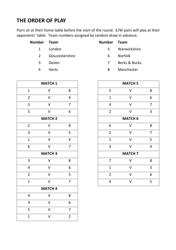## <span id="page-3-0"></span>**THE ORDER OF PLAY**

Pairs sit at their home table before the start of the round. E/W pairs will play at their opponents' table. Team numbers assigned by random draw in advance.

| Number Team   |                 | Number Team |                |
|---------------|-----------------|-------------|----------------|
| $\mathbf{1}$  | London          | 5.          | Warwickshire   |
| $\mathcal{P}$ | Gloucestershire | 6.          | <b>Norfolk</b> |
| २             | Devon           |             | Berks & Bucks  |

|                         | <b>MATCH 1</b>          |                |  |  |
|-------------------------|-------------------------|----------------|--|--|
| $\mathbf 1$             | V                       | 8              |  |  |
| $\overline{2}$          | $\overline{\mathsf{V}}$ | 4              |  |  |
| 3                       | $\checkmark$            | $\overline{7}$ |  |  |
| 5                       | V                       | 6              |  |  |
|                         | <b>MATCH 2</b>          |                |  |  |
| $\overline{2}$          | V                       | 8              |  |  |
| 3                       | $\vee$                  | 5              |  |  |
| $\overline{1}$          | $\vee$                  | 4              |  |  |
| 6                       | V                       | $\overline{7}$ |  |  |
| <b>MATCH 3</b>          |                         |                |  |  |
| 3                       | V                       | 8              |  |  |
| $\overline{\mathbf{4}}$ | $\vee$                  | 6              |  |  |
| $\overline{2}$          | $\overline{\mathsf{V}}$ | 5              |  |  |
| $\overline{1}$          | V                       | $\overline{7}$ |  |  |
| <b>MATCH 4</b>          |                         |                |  |  |
| 4                       | V                       | 8              |  |  |
| 3                       | V                       | 6              |  |  |
|                         |                         |                |  |  |
| 5                       | V                       | $\overline{7}$ |  |  |

Herts 8 Manchester

|                | <b>MATCH 1</b> |                |                | <b>MATCH 5</b> |                |
|----------------|----------------|----------------|----------------|----------------|----------------|
| $\mathbf{1}$   | V              | 8              | 5              | v              | 8              |
| $\overline{2}$ | $\vee$         | $\overline{4}$ | $\mathbf{1}$   | $\vee$         | 6              |
| 3              | V              | $\overline{7}$ | $\overline{4}$ | V              | 7              |
| $\overline{5}$ | $\vee$         | 6              | $\overline{2}$ | $\vee$         | $\overline{3}$ |
|                | <b>MATCH 2</b> |                |                | <b>MATCH 6</b> |                |
| $\overline{2}$ | V              | 8              | 6              | $\vee$         | 8              |
| 3              | $\vee$         | 5              | $\overline{2}$ | $\overline{V}$ | $\overline{7}$ |
| $\overline{1}$ | $\vee$         | $\overline{4}$ | $\mathbf{1}$   | $\vee$         | 5              |
| 6              | $\overline{V}$ | 7              | 3              | $\vee$         | 4              |
|                | <b>MATCH 3</b> |                |                | <b>MATCH 7</b> |                |
| 3              | $\vee$         | 8              | $\overline{7}$ | $\vee$         | 8              |
| 4              | $\vee$         | 6              | $\mathbf{1}$   | $\vee$         | 3              |
| $\overline{2}$ | $\vee$         | 5              | $\overline{2}$ | $\vee$         | 6              |
| $\mathbf{1}$   | V              | 7              | $\overline{4}$ | V              | 5              |
|                |                |                |                |                |                |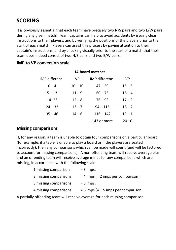## <span id="page-4-0"></span>**SCORING**

It is obviously essential that each team have precisely two N/S pairs and two E/W pairs during any given match! Team captains can help to avoid accidents by issuing clear instructions to their players, and by verifying the positions of the players prior to the start of each match. Players can assist this process by paying attention to their captain's instructions, and by checking visually prior to the start of a match that their team does indeed consist of two N/S pairs and two E/W pairs.

**14-board matches**

| IMP differenc | <b>VP</b> | <b>IMP differenc</b> | <b>VP</b> |
|---------------|-----------|----------------------|-----------|
| $0 - 4$       | $10 - 10$ | $47 - 59$            | $15 - 5$  |
| $5 - 13$      | $11 - 9$  | $60 - 75$            | $16 - 4$  |
| $14 - 23$     | $12 - 8$  | $76 - 93$            | $17 - 3$  |
| $24 - 32$     | $13 - 7$  | $94 - 115$           | $18 - 2$  |
| $35 - 46$     | $14 - 6$  | $116 - 142$          | $19 - 1$  |
|               |           | 143 or more          | $20 - 0$  |

#### <span id="page-4-1"></span>**IMP to VP conversion scale**

#### <span id="page-4-2"></span>**Missing comparisons**

If, for any reason, a team is unable to obtain four comparisons on a particular board (for example, if a table is unable to play a board or if the players are seated incorrectly), then any comparisons which can be made will count (and will be factored to account for missing comparisons). A non-offending team will receive average plus and an offending team will receive average minus for any comparisons which are missing, in accordance with the following scale:

| 1 missing comparison  | $= 3$ imps;                             |
|-----------------------|-----------------------------------------|
| 2 missing comparisons | $= 4$ imps (= 2 imps per comparison);   |
| 3 missing comparisons | $= 5$ imps;                             |
| 4 missing comparisons | $= 6$ imps (= 1.5 imps per comparison). |
|                       |                                         |

A partially offending team will receive average for each missing comparison.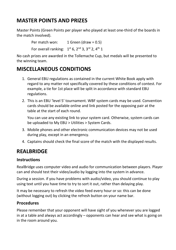## <span id="page-5-0"></span>**MASTER POINTS AND PRIZES**

Master Points (Green Points per player who played at least one-third of the boards in the match involved).

Per match won: 1 Green (draw = 0.5)

For overall ranking:  $1<sup>st</sup> 6$ ,  $2<sup>nd</sup> 3$ ,  $3<sup>rd</sup> 2$ ,  $4<sup>th</sup> 1$ 

No cash prizes are awarded in the Tollemache Cup, but medals will be presented to the winning team.

## <span id="page-5-1"></span>**MISCELLANEOUS CONDITIONS**

- 1. General EBU regulations as contained in the current White Book apply with regard to any matter not specifically covered by these conditions of contest. For example, a tie for 1st place will be split in accordance with standard EBU regulations.
- 2. This is an EBU 'level 5' tournament. WBF system cards may be used. Convention cards should be available online and link posted for the opposing pair at the table at the start of each round.

You can use any existing link to your system card. Otherwise, system cards can be uploaded to My EBU > Utilities > System Cards.

- 3. Mobile phones and other electronic communication devices may not be used during play, except in an emergency.
- 4. Captains should check the final score of the match with the displayed results.

## <span id="page-5-2"></span>**REALBRIDGE**

#### <span id="page-5-3"></span>**Instructions**

RealBridge uses computer video and audio for communication between players. Player can and should test their video/audio by logging into the system in advance.

During a session. if you have problems with audio/video, you should continue to play using text until you have time to try to sort it out, rather than delaying play.

It may be necessary to refresh the video feed every hour or so: this can be done (without logging out) by clicking the refresh button on your name bar.

#### <span id="page-5-4"></span>**Procedures**

Please remember that your opponent will have sight of you whenever you are logged in at a table and always act accordingly – opponents can hear and see what is going on in the room around you.